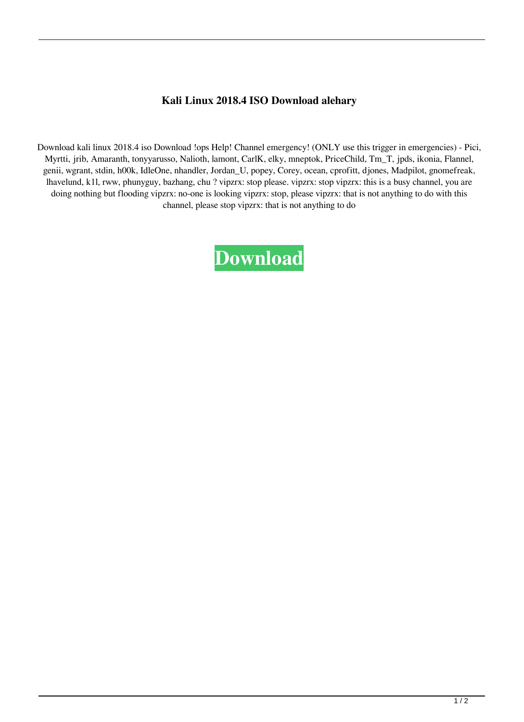## **Kali Linux 2018.4 ISO Download alehary**

Download kali linux 2018.4 iso Download !ops Help! Channel emergency! (ONLY use this trigger in emergencies) - Pici, Myrtti, jrib, Amaranth, tonyyarusso, Nalioth, lamont, CarlK, elky, mneptok, PriceChild, Tm\_T, jpds, ikonia, Flannel, genii, wgrant, stdin, h00k, IdleOne, nhandler, Jordan\_U, popey, Corey, ocean, cprofitt, djones, Madpilot, gnomefreak, lhavelund, k1l, rww, phunyguy, bazhang, chu ? vipzrx: stop please. vipzrx: stop vipzrx: this is a busy channel, you are doing nothing but flooding vipzrx: no-one is looking vipzrx: stop, please vipzrx: that is not anything to do with this channel, please stop vipzrx: that is not anything to do